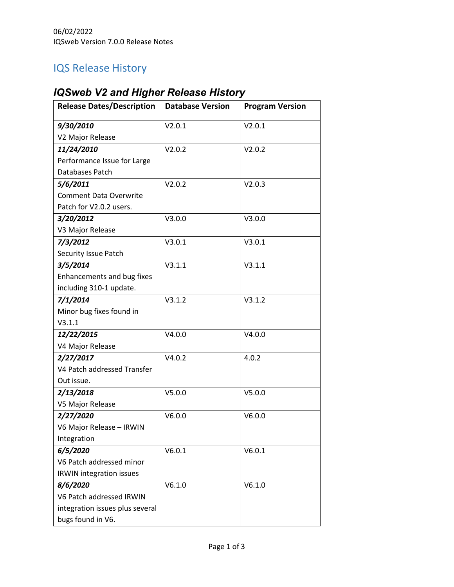## IQS Release History

## *IQSweb V2 and Higher Release History*

| <b>Release Dates/Description</b> | <b>Database Version</b> | <b>Program Version</b> |
|----------------------------------|-------------------------|------------------------|
| 9/30/2010                        | V2.0.1                  | V2.0.1                 |
| V2 Major Release                 |                         |                        |
| 11/24/2010                       | V2.0.2                  | V2.0.2                 |
| Performance Issue for Large      |                         |                        |
| Databases Patch                  |                         |                        |
| 5/6/2011                         | V2.0.2                  | V2.0.3                 |
| <b>Comment Data Overwrite</b>    |                         |                        |
| Patch for V2.0.2 users.          |                         |                        |
| 3/20/2012                        | V3.0.0                  | V3.0.0                 |
| V3 Major Release                 |                         |                        |
| 7/3/2012                         | V3.0.1                  | V3.0.1                 |
| Security Issue Patch             |                         |                        |
| 3/5/2014                         | V3.1.1                  | V3.1.1                 |
| Enhancements and bug fixes       |                         |                        |
| including 310-1 update.          |                         |                        |
| 7/1/2014                         | V3.1.2                  | V3.1.2                 |
| Minor bug fixes found in         |                         |                        |
| V3.1.1                           |                         |                        |
| 12/22/2015                       | V4.0.0                  | V4.0.0                 |
| V4 Major Release                 |                         |                        |
| 2/27/2017                        | V4.0.2                  | 4.0.2                  |
| V4 Patch addressed Transfer      |                         |                        |
| Out issue.                       |                         |                        |
| 2/13/2018                        | V5.0.0                  | V5.0.0                 |
| V5 Major Release                 |                         |                        |
| 2/27/2020                        | V6.0.0                  | V6.0.0                 |
| V6 Major Release - IRWIN         |                         |                        |
| Integration                      |                         |                        |
| 6/5/2020                         | V6.0.1                  | V6.0.1                 |
| V6 Patch addressed minor         |                         |                        |
| <b>IRWIN</b> integration issues  |                         |                        |
| 8/6/2020                         | V6.1.0                  | V6.1.0                 |
| V6 Patch addressed IRWIN         |                         |                        |
| integration issues plus several  |                         |                        |
| bugs found in V6.                |                         |                        |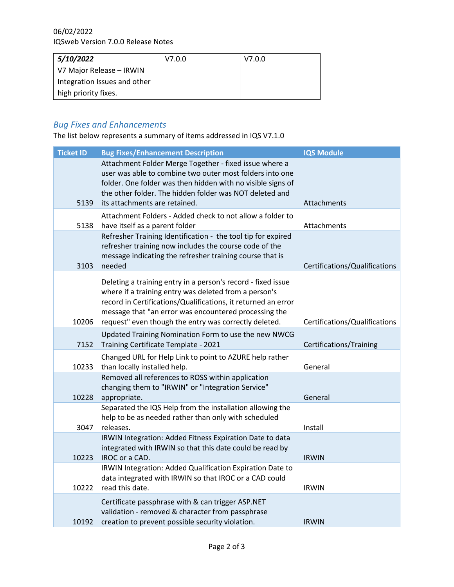| 5/10/2022                    | V7.0.0 | V7.0.0 |
|------------------------------|--------|--------|
| V7 Major Release – IRWIN     |        |        |
| Integration Issues and other |        |        |
| high priority fixes.         |        |        |

## *Bug Fixes and Enhancements*

The list below represents a summary of items addressed in IQS V7.1.0

| <b>Ticket ID</b> | <b>Bug Fixes/Enhancement Description</b>                                                                                                                                                                                                                                                                 | <b>IQS Module</b>             |
|------------------|----------------------------------------------------------------------------------------------------------------------------------------------------------------------------------------------------------------------------------------------------------------------------------------------------------|-------------------------------|
|                  | Attachment Folder Merge Together - fixed issue where a<br>user was able to combine two outer most folders into one<br>folder. One folder was then hidden with no visible signs of<br>the other folder. The hidden folder was NOT deleted and                                                             |                               |
| 5139             | its attachments are retained.                                                                                                                                                                                                                                                                            | Attachments                   |
| 5138             | Attachment Folders - Added check to not allow a folder to<br>have itself as a parent folder                                                                                                                                                                                                              | Attachments                   |
| 3103             | Refresher Training Identification - the tool tip for expired<br>refresher training now includes the course code of the<br>message indicating the refresher training course that is<br>needed                                                                                                             | Certifications/Qualifications |
| 10206            | Deleting a training entry in a person's record - fixed issue<br>where if a training entry was deleted from a person's<br>record in Certifications/Qualifications, it returned an error<br>message that "an error was encountered processing the<br>request" even though the entry was correctly deleted. | Certifications/Qualifications |
| 7152             | Updated Training Nomination Form to use the new NWCG<br>Training Certificate Template - 2021                                                                                                                                                                                                             | Certifications/Training       |
| 10233            | Changed URL for Help Link to point to AZURE help rather<br>than locally installed help.                                                                                                                                                                                                                  | General                       |
| 10228            | Removed all references to ROSS within application<br>changing them to "IRWIN" or "Integration Service"<br>appropriate.                                                                                                                                                                                   | General                       |
| 3047             | Separated the IQS Help from the installation allowing the<br>help to be as needed rather than only with scheduled<br>releases.                                                                                                                                                                           | Install                       |
| 10223            | IRWIN Integration: Added Fitness Expiration Date to data<br>integrated with IRWIN so that this date could be read by<br>IROC or a CAD.                                                                                                                                                                   | <b>IRWIN</b>                  |
| 10222            | IRWIN Integration: Added Qualification Expiration Date to<br>data integrated with IRWIN so that IROC or a CAD could<br>read this date.                                                                                                                                                                   | <b>IRWIN</b>                  |
| 10192            | Certificate passphrase with & can trigger ASP.NET<br>validation - removed & character from passphrase<br>creation to prevent possible security violation.                                                                                                                                                | <b>IRWIN</b>                  |